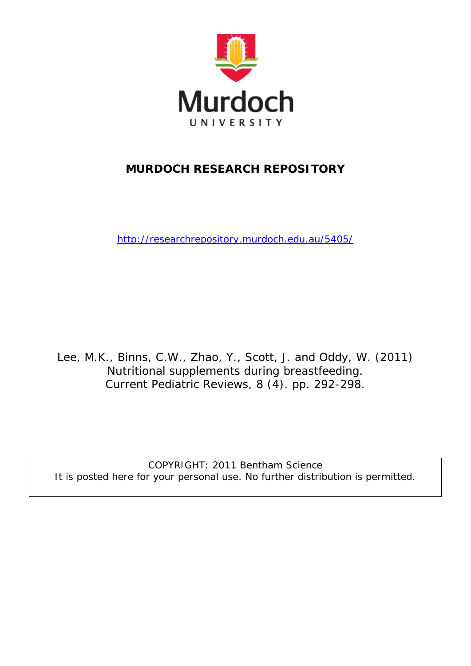

# **MURDOCH RESEARCH REPOSITORY**

<http://researchrepository.murdoch.edu.au/5405/>

Lee, M.K., Binns, C.W., Zhao, Y., Scott, J. and Oddy, W. (2011) Nutritional supplements during breastfeeding. Current Pediatric Reviews, 8 (4). pp. 292-298.

COPYRIGHT: 2011 Bentham Science It is posted here for your personal use. No further distribution is permitted.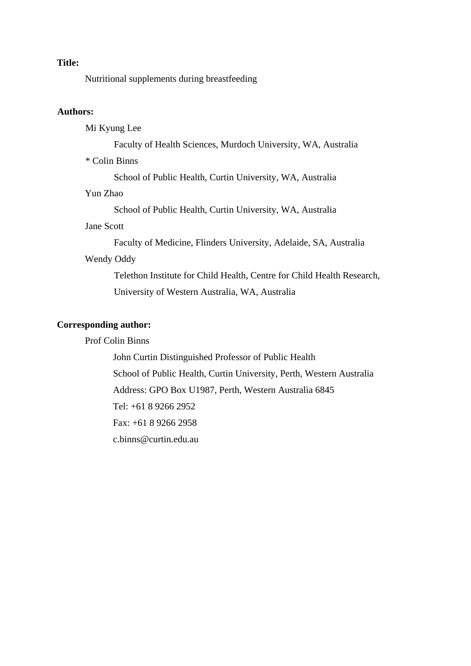## **Title:**

Nutritional supplements during breastfeeding

## **Authors:**

Mi Kyung Lee

Faculty of Health Sciences, Murdoch University, WA, Australia

\* Colin Binns

School of Public Health, Curtin University, WA, Australia

#### Yun Zhao

School of Public Health, Curtin University, WA, Australia

## Jane Scott

Faculty of Medicine, Flinders University, Adelaide, SA, Australia

# Wendy Oddy

Telethon Institute for Child Health, Centre for Child Health Research, University of Western Australia, WA, Australia

# **Corresponding author:**

## Prof Colin Binns

John Curtin Distinguished Professor of Public Health School of Public Health, Curtin University, Perth, Western Australia Address: GPO Box U1987, Perth, Western Australia 6845 Tel: +61 8 9266 2952 Fax: +61 8 9266 2958 c.binns@curtin.edu.au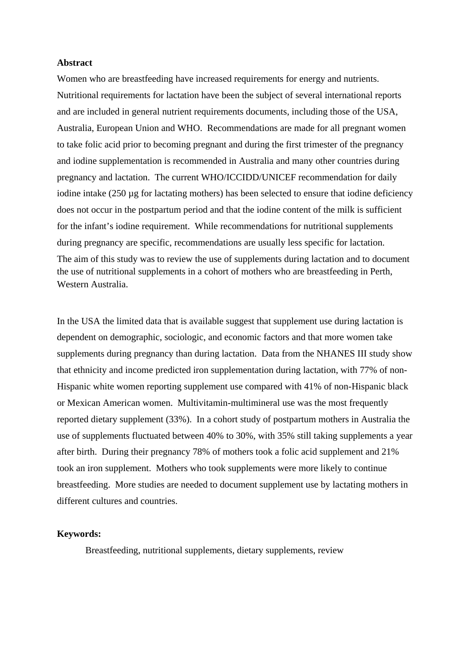## **Abstract**

Women who are breastfeeding have increased requirements for energy and nutrients. Nutritional requirements for lactation have been the subject of several international reports and are included in general nutrient requirements documents, including those of the USA, Australia, European Union and WHO. Recommendations are made for all pregnant women to take folic acid prior to becoming pregnant and during the first trimester of the pregnancy and iodine supplementation is recommended in Australia and many other countries during pregnancy and lactation. The current WHO/ICCIDD/UNICEF recommendation for daily iodine intake  $(250 \mu g)$  for lactating mothers) has been selected to ensure that iodine deficiency does not occur in the postpartum period and that the iodine content of the milk is sufficient for the infant's iodine requirement. While recommendations for nutritional supplements during pregnancy are specific, recommendations are usually less specific for lactation. The aim of this study was to review the use of supplements during lactation and to document the use of nutritional supplements in a cohort of mothers who are breastfeeding in Perth, Western Australia.

In the USA the limited data that is available suggest that supplement use during lactation is dependent on demographic, sociologic, and economic factors and that more women take supplements during pregnancy than during lactation. Data from the NHANES III study show that ethnicity and income predicted iron supplementation during lactation, with 77% of non-Hispanic white women reporting supplement use compared with 41% of non-Hispanic black or Mexican American women. Multivitamin-multimineral use was the most frequently reported dietary supplement (33%). In a cohort study of postpartum mothers in Australia the use of supplements fluctuated between 40% to 30%, with 35% still taking supplements a year after birth. During their pregnancy 78% of mothers took a folic acid supplement and 21% took an iron supplement. Mothers who took supplements were more likely to continue breastfeeding. More studies are needed to document supplement use by lactating mothers in different cultures and countries.

## **Keywords:**

Breastfeeding, nutritional supplements, dietary supplements, review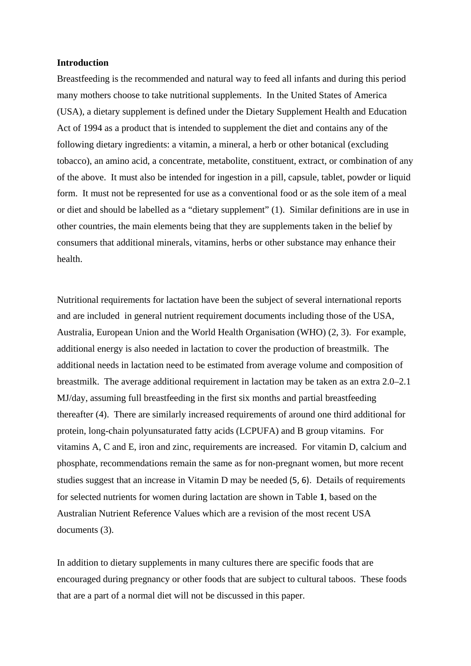#### **Introduction**

Breastfeeding is the recommended and natural way to feed all infants and during this period many mothers choose to take nutritional supplements. In the United States of America (USA), a dietary supplement is defined under the Dietary Supplement Health and Education Act of 1994 as a product that is intended to supplement the diet and contains any of the following dietary ingredients: a vitamin, a mineral, a herb or other botanical (excluding tobacco), an amino acid, a concentrate, metabolite, constituent, extract, or combination of any of the above. It must also be intended for ingestion in a pill, capsule, tablet, powder or liquid form. It must not be represented for use as a conventional food or as the sole item of a meal or diet and should be labelled as a "dietary supplement" [\(1\)](#page-17-0). Similar definitions are in use in other countries, the main elements being that they are supplements taken in the belief by consumers that additional minerals, vitamins, herbs or other substance may enhance their health.

Nutritional requirements for lactation have been the subject of several international reports and are included in general nutrient requirement documents including those of the USA, Australia, European Union and the World Health Organisation (WHO) [\(2,](#page-17-1) [3\)](#page-17-2). For example, additional energy is also needed in lactation to cover the production of breastmilk. The additional needs in lactation need to be estimated from average volume and composition of breastmilk. The average additional requirement in lactation may be taken as an extra 2.0–2.1 MJ/day, assuming full breastfeeding in the first six months and partial breastfeeding thereafter [\(4\)](#page-17-3). There are similarly increased requirements of around one third additional for protein, long-chain polyunsaturated fatty acids (LCPUFA) and B group vitamins. For vitamins A, C and E, iron and zinc, requirements are increased. For vitamin D, calcium and phosphate, recommendations remain the same as for non-pregnant women, but more recent studies suggest that an increase in Vitamin D may be needed [\(5,](#page-17-4) [6\)](#page-17-5). Details of requirements for selected nutrients for women during lactation are shown in Table **1**, based on the Australian Nutrient Reference Values which are a revision of the most recent USA documents [\(3\)](#page-17-2).

In addition to dietary supplements in many cultures there are specific foods that are encouraged during pregnancy or other foods that are subject to cultural taboos. These foods that are a part of a normal diet will not be discussed in this paper.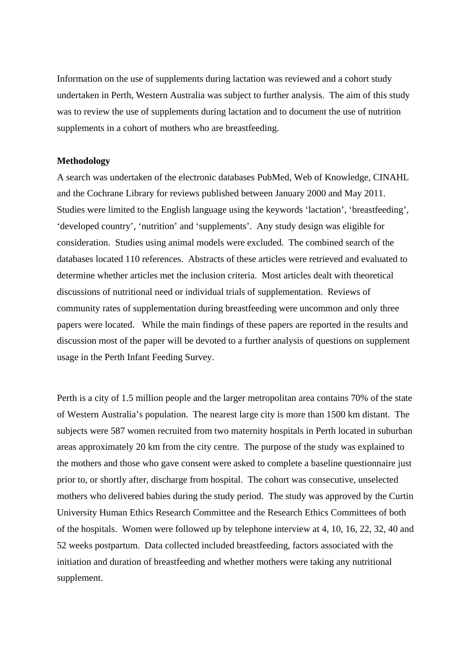Information on the use of supplements during lactation was reviewed and a cohort study undertaken in Perth, Western Australia was subject to further analysis. The aim of this study was to review the use of supplements during lactation and to document the use of nutrition supplements in a cohort of mothers who are breastfeeding.

### **Methodology**

A search was undertaken of the electronic databases PubMed, Web of Knowledge, CINAHL and the Cochrane Library for reviews published between January 2000 and May 2011. Studies were limited to the English language using the keywords 'lactation', 'breastfeeding', 'developed country', 'nutrition' and 'supplements'. Any study design was eligible for consideration. Studies using animal models were excluded. The combined search of the databases located 110 references. Abstracts of these articles were retrieved and evaluated to determine whether articles met the inclusion criteria. Most articles dealt with theoretical discussions of nutritional need or individual trials of supplementation. Reviews of community rates of supplementation during breastfeeding were uncommon and only three papers were located. While the main findings of these papers are reported in the results and discussion most of the paper will be devoted to a further analysis of questions on supplement usage in the Perth Infant Feeding Survey.

Perth is a city of 1.5 million people and the larger metropolitan area contains 70% of the state of Western Australia's population. The nearest large city is more than 1500 km distant. The subjects were 587 women recruited from two maternity hospitals in Perth located in suburban areas approximately 20 km from the city centre. The purpose of the study was explained to the mothers and those who gave consent were asked to complete a baseline questionnaire just prior to, or shortly after, discharge from hospital. The cohort was consecutive, unselected mothers who delivered babies during the study period. The study was approved by the Curtin University Human Ethics Research Committee and the Research Ethics Committees of both of the hospitals. Women were followed up by telephone interview at 4, 10, 16, 22, 32, 40 and 52 weeks postpartum. Data collected included breastfeeding, factors associated with the initiation and duration of breastfeeding and whether mothers were taking any nutritional supplement.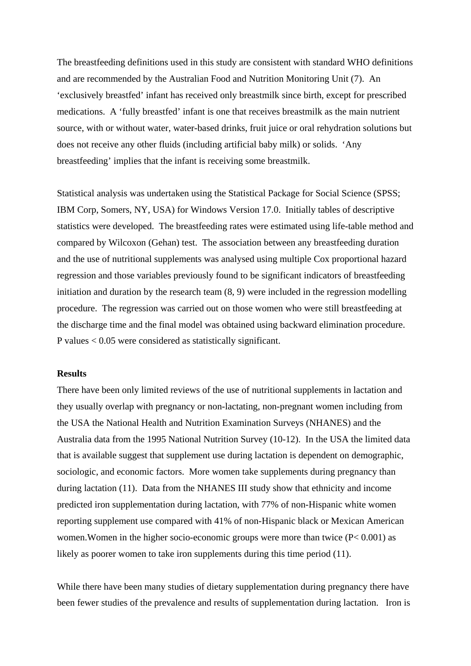The breastfeeding definitions used in this study are consistent with standard WHO definitions and are recommended by the Australian Food and Nutrition Monitoring Unit [\(7\)](#page-17-6). An 'exclusively breastfed' infant has received only breastmilk since birth, except for prescribed medications. A 'fully breastfed' infant is one that receives breastmilk as the main nutrient source, with or without water, water-based drinks, fruit juice or oral rehydration solutions but does not receive any other fluids (including artificial baby milk) or solids. 'Any breastfeeding' implies that the infant is receiving some breastmilk.

Statistical analysis was undertaken using the Statistical Package for Social Science (SPSS; IBM Corp, Somers, NY, USA) for Windows Version 17.0. Initially tables of descriptive statistics were developed. The breastfeeding rates were estimated using life-table method and compared by Wilcoxon (Gehan) test. The association between any breastfeeding duration and the use of nutritional supplements was analysed using multiple Cox proportional hazard regression and those variables previously found to be significant indicators of breastfeeding initiation and duration by the research team [\(8,](#page-17-7) [9\)](#page-17-8) were included in the regression modelling procedure. The regression was carried out on those women who were still breastfeeding at the discharge time and the final model was obtained using backward elimination procedure. P values < 0.05 were considered as statistically significant.

#### **Results**

There have been only limited reviews of the use of nutritional supplements in lactation and they usually overlap with pregnancy or non-lactating, non-pregnant women including from the USA the National Health and Nutrition Examination Surveys (NHANES) and the Australia data from the 1995 National Nutrition Survey [\(10-12\)](#page-17-9). In the USA the limited data that is available suggest that supplement use during lactation is dependent on demographic, sociologic, and economic factors. More women take supplements during pregnancy than during lactation [\(11\)](#page-17-10). Data from the NHANES III study show that ethnicity and income predicted iron supplementation during lactation, with 77% of non-Hispanic white women reporting supplement use compared with 41% of non-Hispanic black or Mexican American women.Women in the higher socio-economic groups were more than twice (P< 0.001) as likely as poorer women to take iron supplements during this time period [\(11\)](#page-17-10).

While there have been many studies of dietary supplementation during pregnancy there have been fewer studies of the prevalence and results of supplementation during lactation. Iron is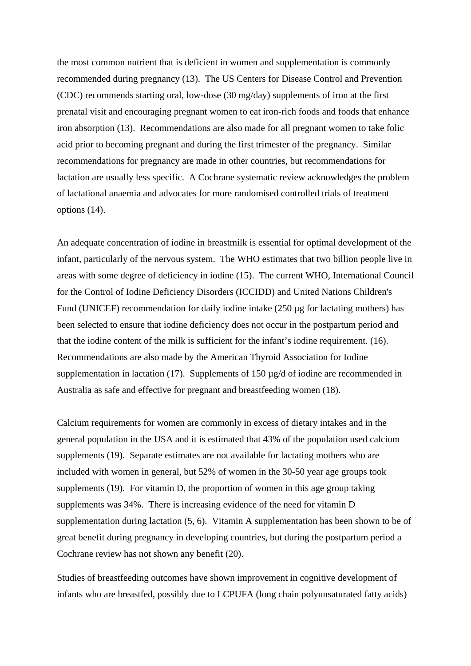the most common nutrient that is deficient in women and supplementation is commonly recommended during pregnancy [\(13\)](#page-17-11). The US Centers for Disease Control and Prevention (CDC) recommends starting oral, low-dose (30 mg/day) supplements of iron at the first prenatal visit and encouraging pregnant women to eat iron-rich foods and foods that enhance iron absorption [\(13\)](#page-17-11). Recommendations are also made for all pregnant women to take folic acid prior to becoming pregnant and during the first trimester of the pregnancy. Similar recommendations for pregnancy are made in other countries, but recommendations for lactation are usually less specific. A Cochrane systematic review acknowledges the problem of lactational anaemia and advocates for more randomised controlled trials of treatment options [\(14\)](#page-17-12).

An adequate concentration of iodine in breastmilk is essential for optimal development of the infant, particularly of the nervous system. The WHO estimates that two billion people live in areas with some degree of deficiency in iodine [\(15\)](#page-17-13). The current WHO, International Council for the Control of Iodine Deficiency Disorders (ICCIDD) and United Nations Children's Fund (UNICEF) recommendation for daily iodine intake (250 µg for lactating mothers) has been selected to ensure that iodine deficiency does not occur in the postpartum period and that the iodine content of the milk is sufficient for the infant's iodine requirement. [\(16\)](#page-17-14). Recommendations are also made by the American Thyroid Association for Iodine supplementation in lactation [\(17\)](#page-17-15). Supplements of 150  $\mu$ g/d of iodine are recommended in Australia as safe and effective for pregnant and breastfeeding women [\(18\)](#page-17-16).

Calcium requirements for women are commonly in excess of dietary intakes and in the general population in the USA and it is estimated that 43% of the population used calcium supplements [\(19\)](#page-17-17). Separate estimates are not available for lactating mothers who are included with women in general, but 52% of women in the 30-50 year age groups took supplements [\(19\)](#page-17-17). For vitamin D, the proportion of women in this age group taking supplements was 34%. There is increasing evidence of the need for vitamin D supplementation during lactation [\(5,](#page-17-4) [6\)](#page-17-5). Vitamin A supplementation has been shown to be of great benefit during pregnancy in developing countries, but during the postpartum period a Cochrane review has not shown any benefit [\(20\)](#page-17-18).

Studies of breastfeeding outcomes have shown improvement in cognitive development of infants who are breastfed, possibly due to LCPUFA (long chain polyunsaturated fatty acids)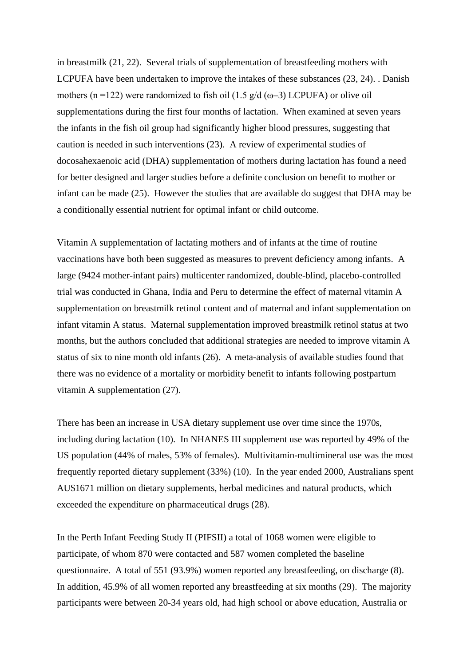in breastmilk [\(21,](#page-17-19) [22\)](#page-17-20). Several trials of supplementation of breastfeeding mothers with LCPUFA have been undertaken to improve the intakes of these substances [\(23,](#page-18-0) [24\)](#page-18-1). . Danish mothers (n =122) were randomized to fish oil (1.5  $g/d$  (ω–3) LCPUFA) or olive oil supplementations during the first four months of lactation. When examined at seven years the infants in the fish oil group had significantly higher blood pressures, suggesting that caution is needed in such interventions [\(23\)](#page-18-0). A review of experimental studies of docosahexaenoic acid (DHA) supplementation of mothers during lactation has found a need for better designed and larger studies before a definite conclusion on benefit to mother or infant can be made [\(25\)](#page-18-2). However the studies that are available do suggest that DHA may be a conditionally essential nutrient for optimal infant or child outcome.

Vitamin A supplementation of lactating mothers and of infants at the time of routine vaccinations have both been suggested as measures to prevent deficiency among infants. A large (9424 mother-infant pairs) multicenter randomized, double-blind, placebo-controlled trial was conducted in Ghana, India and Peru to determine the effect of maternal vitamin A supplementation on breastmilk retinol content and of maternal and infant supplementation on infant vitamin A status. Maternal supplementation improved breastmilk retinol status at two months, but the authors concluded that additional strategies are needed to improve vitamin A status of six to nine month old infants [\(26\)](#page-18-3). A meta-analysis of available studies found that there was no evidence of a mortality or morbidity benefit to infants following postpartum vitamin A supplementation [\(27\)](#page-18-4).

There has been an increase in USA dietary supplement use over time since the 1970s, including during lactation [\(10\)](#page-17-9). In NHANES III supplement use was reported by 49% of the US population (44% of males, 53% of females). Multivitamin-multimineral use was the most frequently reported dietary supplement (33%) [\(10\)](#page-17-9). In the year ended 2000, Australians spent AU\$1671 million on dietary supplements, herbal medicines and natural products, which exceeded the expenditure on pharmaceutical drugs [\(28\)](#page-18-5).

In the Perth Infant Feeding Study II (PIFSII) a total of 1068 women were eligible to participate, of whom 870 were contacted and 587 women completed the baseline questionnaire. A total of 551 (93.9%) women reported any breastfeeding, on discharge [\(8\)](#page-17-7). In addition, 45.9% of all women reported any breastfeeding at six months [\(29\)](#page-18-6). The majority participants were between 20-34 years old, had high school or above education, Australia or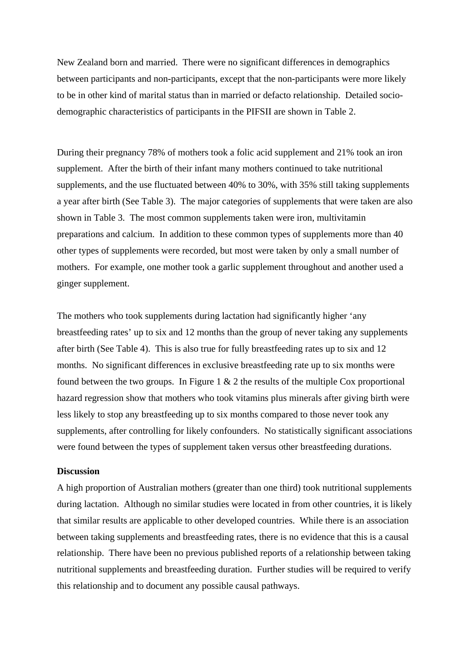New Zealand born and married. There were no significant differences in demographics between participants and non-participants, except that the non-participants were more likely to be in other kind of marital status than in married or defacto relationship. Detailed sociodemographic characteristics of participants in the PIFSII are shown in Table 2.

During their pregnancy 78% of mothers took a folic acid supplement and 21% took an iron supplement. After the birth of their infant many mothers continued to take nutritional supplements, and the use fluctuated between 40% to 30%, with 35% still taking supplements a year after birth (See Table 3). The major categories of supplements that were taken are also shown in Table 3. The most common supplements taken were iron, multivitamin preparations and calcium. In addition to these common types of supplements more than 40 other types of supplements were recorded, but most were taken by only a small number of mothers. For example, one mother took a garlic supplement throughout and another used a ginger supplement.

The mothers who took supplements during lactation had significantly higher 'any breastfeeding rates' up to six and 12 months than the group of never taking any supplements after birth (See Table 4). This is also true for fully breastfeeding rates up to six and 12 months. No significant differences in exclusive breastfeeding rate up to six months were found between the two groups. In Figure 1  $& 2$  the results of the multiple Cox proportional hazard regression show that mothers who took vitamins plus minerals after giving birth were less likely to stop any breastfeeding up to six months compared to those never took any supplements, after controlling for likely confounders. No statistically significant associations were found between the types of supplement taken versus other breastfeeding durations.

## **Discussion**

A high proportion of Australian mothers (greater than one third) took nutritional supplements during lactation. Although no similar studies were located in from other countries, it is likely that similar results are applicable to other developed countries. While there is an association between taking supplements and breastfeeding rates, there is no evidence that this is a causal relationship. There have been no previous published reports of a relationship between taking nutritional supplements and breastfeeding duration. Further studies will be required to verify this relationship and to document any possible causal pathways.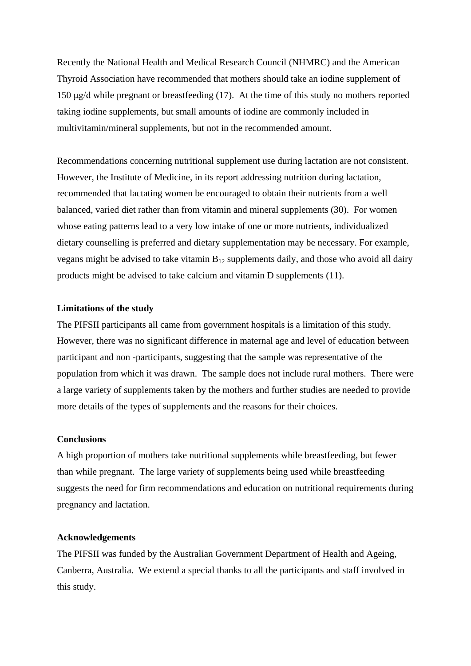Recently the National Health and Medical Research Council (NHMRC) and the American Thyroid Association have recommended that mothers should take an iodine supplement of 150 μg/d while pregnant or breastfeeding [\(17\)](#page-17-15). At the time of this study no mothers reported taking iodine supplements, but small amounts of iodine are commonly included in multivitamin/mineral supplements, but not in the recommended amount.

Recommendations concerning nutritional supplement use during lactation are not consistent. However, the Institute of Medicine, in its report addressing nutrition during lactation, recommended that lactating women be encouraged to obtain their nutrients from a well balanced, varied diet rather than from vitamin and mineral supplements [\(30\)](#page-18-7). For women whose eating patterns lead to a very low intake of one or more nutrients, individualized dietary counselling is preferred and dietary supplementation may be necessary. For example, vegans might be advised to take vitamin  $B_{12}$  supplements daily, and those who avoid all dairy products might be advised to take calcium and vitamin D supplements [\(11\)](#page-17-10).

#### **Limitations of the study**

The PIFSII participants all came from government hospitals is a limitation of this study. However, there was no significant difference in maternal age and level of education between participant and non -participants, suggesting that the sample was representative of the population from which it was drawn. The sample does not include rural mothers. There were a large variety of supplements taken by the mothers and further studies are needed to provide more details of the types of supplements and the reasons for their choices.

#### **Conclusions**

A high proportion of mothers take nutritional supplements while breastfeeding, but fewer than while pregnant. The large variety of supplements being used while breastfeeding suggests the need for firm recommendations and education on nutritional requirements during pregnancy and lactation.

## **Acknowledgements**

The PIFSII was funded by the Australian Government Department of Health and Ageing, Canberra, Australia. We extend a special thanks to all the participants and staff involved in this study.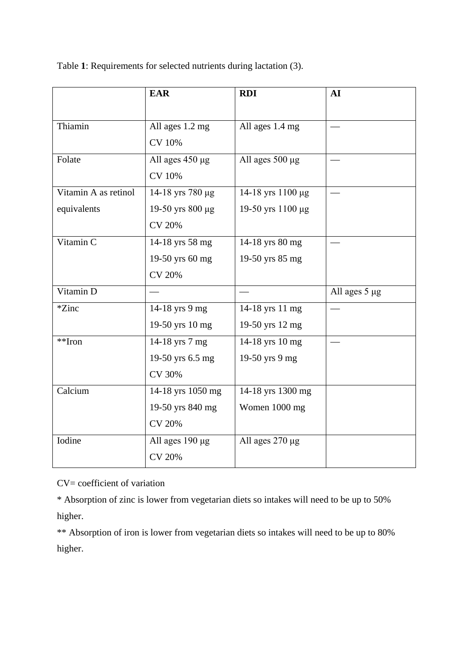Table **1**: Requirements for selected nutrients during lactation [\(3\)](#page-17-2).

|                       | <b>EAR</b>           | <b>RDI</b>        | AI            |  |  |
|-----------------------|----------------------|-------------------|---------------|--|--|
|                       |                      |                   |               |  |  |
| Thiamin               | All ages 1.2 mg      | All ages 1.4 mg   |               |  |  |
|                       | <b>CV 10%</b>        |                   |               |  |  |
| Folate                | All ages 450 µg      | All ages 500 µg   |               |  |  |
|                       | <b>CV 10%</b>        |                   |               |  |  |
| Vitamin A as retinol  | 14-18 yrs 780 µg     | 14-18 yrs 1100 μg |               |  |  |
| equivalents           | 19-50 yrs 800 µg     | 19-50 yrs 1100 μg |               |  |  |
|                       | <b>CV 20%</b>        |                   |               |  |  |
| Vitamin C             | 14-18 yrs 58 mg      | 14-18 yrs 80 mg   |               |  |  |
|                       | 19-50 yrs 60 mg      | 19-50 yrs 85 mg   |               |  |  |
|                       | <b>CV 20%</b>        |                   |               |  |  |
| Vitamin D             |                      |                   | All ages 5 µg |  |  |
| *Zinc                 | 14-18 yrs 9 mg       | 14-18 yrs 11 mg   |               |  |  |
|                       | 19-50 yrs 10 mg      | 19-50 yrs 12 mg   |               |  |  |
| $*$ <sup>*</sup> Iron | 14-18 yrs 7 mg       | 14-18 yrs 10 mg   |               |  |  |
|                       | 19-50 yrs 6.5 mg     | 19-50 yrs 9 mg    |               |  |  |
|                       | <b>CV 30%</b>        |                   |               |  |  |
| Calcium               | 14-18 yrs 1050 mg    | 14-18 yrs 1300 mg |               |  |  |
|                       | 19-50 yrs 840 mg     | Women 1000 mg     |               |  |  |
|                       | <b>CV 20%</b>        |                   |               |  |  |
| Iodine                | All ages $190 \mu g$ | All ages 270 µg   |               |  |  |
|                       | <b>CV 20%</b>        |                   |               |  |  |

CV= coefficient of variation

\* Absorption of zinc is lower from vegetarian diets so intakes will need to be up to 50% higher.

\*\* Absorption of iron is lower from vegetarian diets so intakes will need to be up to 80% higher.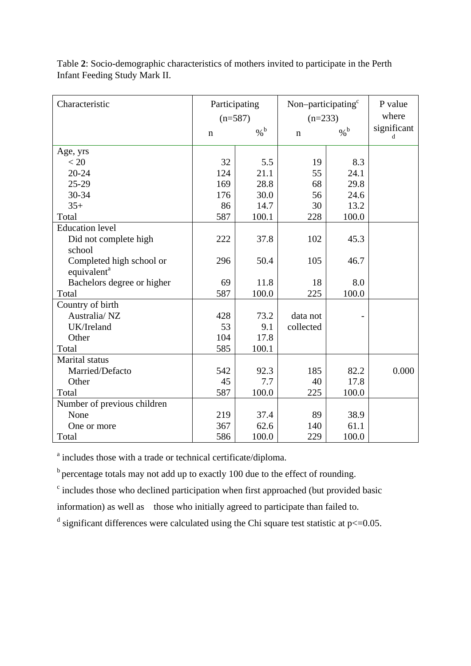| Characteristic              | Participating |               | Non-participating <sup>c</sup> |               | P value          |
|-----------------------------|---------------|---------------|--------------------------------|---------------|------------------|
|                             | $(n=587)$     |               | $(n=233)$                      |               | where            |
|                             | $\mathbf n$   | $\frac{6}{6}$ | $\mathbf n$                    | $\frac{9}{6}$ | significant<br>d |
| Age, yrs                    |               |               |                                |               |                  |
| < 20                        | 32            | 5.5           | 19                             | 8.3           |                  |
| $20 - 24$                   | 124           | 21.1          | 55                             | 24.1          |                  |
| $25 - 29$                   | 169           | 28.8          | 68                             | 29.8          |                  |
| 30-34                       | 176           | 30.0          | 56                             | 24.6          |                  |
| $35+$                       | 86            | 14.7          | 30                             | 13.2          |                  |
| Total                       | 587           | 100.1         | 228                            | 100.0         |                  |
| <b>Education level</b>      |               |               |                                |               |                  |
| Did not complete high       | 222           | 37.8          | 102                            | 45.3          |                  |
| school                      |               |               |                                |               |                  |
| Completed high school or    | 296           | 50.4          | 105                            | 46.7          |                  |
| equivalent <sup>a</sup>     |               |               |                                |               |                  |
| Bachelors degree or higher  | 69            | 11.8          | 18                             | 8.0           |                  |
| Total                       | 587           | 100.0         | 225                            | 100.0         |                  |
| Country of birth            |               |               |                                |               |                  |
| Australia/NZ                | 428           | 73.2          | data not                       |               |                  |
| UK/Ireland                  | 53            | 9.1           | collected                      |               |                  |
| Other                       | 104           | 17.8          |                                |               |                  |
| Total                       | 585           | 100.1         |                                |               |                  |
| Marital status              |               |               |                                |               |                  |
| Married/Defacto             | 542           | 92.3          | 185                            | 82.2          | 0.000            |
| Other                       | 45            | 7.7           | 40                             | 17.8          |                  |
| Total                       | 587           | 100.0         | 225                            | 100.0         |                  |
| Number of previous children |               |               |                                |               |                  |
| None                        | 219           | 37.4          | 89                             | 38.9          |                  |
| One or more                 | 367           | 62.6          | 140                            | 61.1          |                  |
| Total                       | 586           | 100.0         | 229                            | 100.0         |                  |

Table **2**: Socio-demographic characteristics of mothers invited to participate in the Perth Infant Feeding Study Mark II.

<sup>a</sup> includes those with a trade or technical certificate/diploma.

 $<sup>b</sup>$  percentage totals may not add up to exactly 100 due to the effect of rounding.</sup>

 $\epsilon$  includes those who declined participation when first approached (but provided basic

information) as well as those who initially agreed to participate than failed to.

<sup>d</sup> significant differences were calculated using the Chi square test statistic at  $p \le 0.05$ .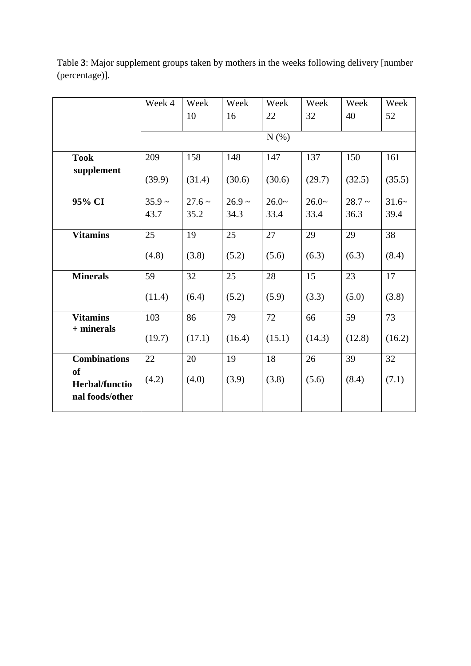Table **3**: Major supplement groups taken by mothers in the weeks following delivery [number (percentage)].

|                                                       | Week 4   | Week        | Week        | Week    | Week    | Week     | Week    |
|-------------------------------------------------------|----------|-------------|-------------|---------|---------|----------|---------|
|                                                       |          | 10          | 16          | 22      | 32      | 40       | 52      |
|                                                       |          |             |             | N(%)    |         |          |         |
|                                                       |          |             |             |         |         |          |         |
| <b>Took</b>                                           | 209      | 158         | 148         | 147     | 137     | 150      | 161     |
| supplement                                            | (39.9)   | (31.4)      | (30.6)      | (30.6)  | (29.7)  | (32.5)   | (35.5)  |
| 95% CI                                                | $35.9 -$ | $27.6 \sim$ | $26.9 \sim$ | $26.0-$ | $26.0-$ | $28.7 -$ | $31.6-$ |
|                                                       | 43.7     | 35.2        | 34.3        | 33.4    | 33.4    | 36.3     | 39.4    |
| <b>Vitamins</b>                                       | 25       | 19          | 25          | 27      | 29      | 29       | 38      |
|                                                       | (4.8)    | (3.8)       | (5.2)       | (5.6)   | (6.3)   | (6.3)    | (8.4)   |
| <b>Minerals</b>                                       | 59       | 32          | 25          | 28      | 15      | 23       | 17      |
|                                                       | (11.4)   | (6.4)       | (5.2)       | (5.9)   | (3.3)   | (5.0)    | (3.8)   |
| <b>Vitamins</b>                                       | 103      | 86          | 79          | 72      | 66      | 59       | 73      |
| $+$ minerals                                          | (19.7)   | (17.1)      | (16.4)      | (15.1)  | (14.3)  | (12.8)   | (16.2)  |
| <b>Combinations</b>                                   | 22       | 20          | 19          | 18      | 26      | 39       | 32      |
| <b>of</b><br><b>Herbal/functio</b><br>nal foods/other | (4.2)    | (4.0)       | (3.9)       | (3.8)   | (5.6)   | (8.4)    | (7.1)   |
|                                                       |          |             |             |         |         |          |         |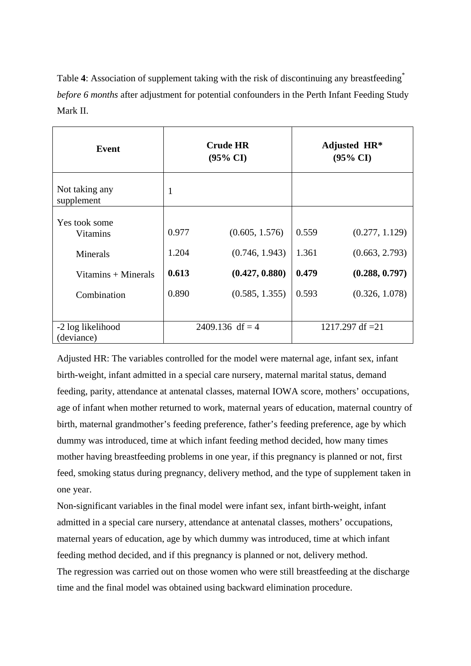Table 4: Association of supplement taking with the risk of discontinuing any breastfeeding<sup>\*</sup> *before 6 months* after adjustment for potential confounders in the Perth Infant Feeding Study Mark II.

| Event                            | <b>Crude HR</b><br>$(95\% \text{ CI})$ |                 | Adjusted HR*<br>$(95\% \text{ CI})$ |                    |  |
|----------------------------------|----------------------------------------|-----------------|-------------------------------------|--------------------|--|
| Not taking any<br>supplement     | 1                                      |                 |                                     |                    |  |
| Yes took some<br><b>Vitamins</b> | 0.977                                  | (0.605, 1.576)  | 0.559                               | (0.277, 1.129)     |  |
| Minerals                         | 1.204                                  | (0.746, 1.943)  | 1.361                               | (0.663, 2.793)     |  |
| Vitamins $+$ Minerals            | 0.613                                  | (0.427, 0.880)  | 0.479                               | (0.288, 0.797)     |  |
| Combination                      | 0.890                                  | (0.585, 1.355)  | 0.593                               | (0.326, 1.078)     |  |
|                                  |                                        |                 |                                     |                    |  |
| -2 log likelihood<br>(deviance)  |                                        | 2409.136 df = 4 |                                     | 1217.297 df = $21$ |  |

Adjusted HR: The variables controlled for the model were maternal age, infant sex, infant birth-weight, infant admitted in a special care nursery, maternal marital status, demand feeding, parity, attendance at antenatal classes, maternal IOWA score, mothers' occupations, age of infant when mother returned to work, maternal years of education, maternal country of birth, maternal grandmother's feeding preference, father's feeding preference, age by which dummy was introduced, time at which infant feeding method decided, how many times mother having breastfeeding problems in one year, if this pregnancy is planned or not, first feed, smoking status during pregnancy, delivery method, and the type of supplement taken in one year.

Non-significant variables in the final model were infant sex, infant birth-weight, infant admitted in a special care nursery, attendance at antenatal classes, mothers' occupations, maternal years of education, age by which dummy was introduced, time at which infant feeding method decided, and if this pregnancy is planned or not, delivery method. The regression was carried out on those women who were still breastfeeding at the discharge time and the final model was obtained using backward elimination procedure.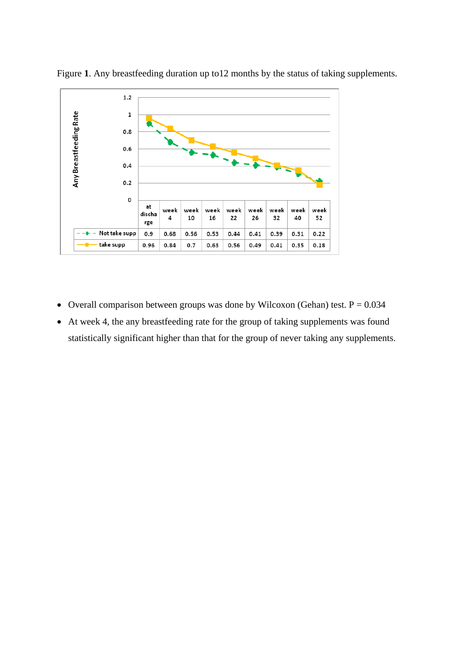

Figure **1**. Any breastfeeding duration up to12 months by the status of taking supplements.

- Overall comparison between groups was done by Wilcoxon (Gehan) test.  $P = 0.034$
- At week 4, the any breastfeeding rate for the group of taking supplements was found statistically significant higher than that for the group of never taking any supplements.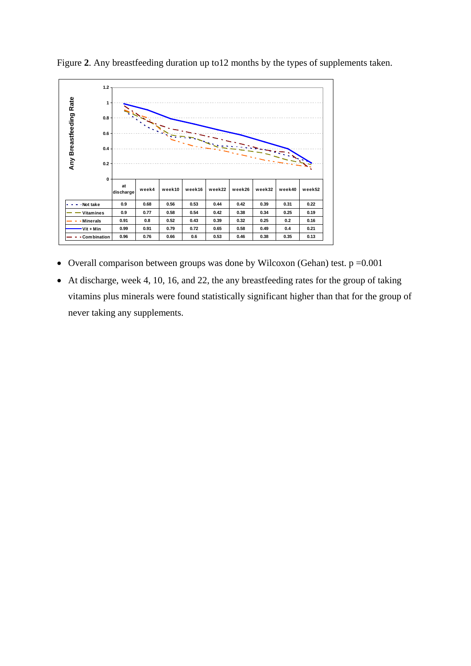

Figure **2**. Any breastfeeding duration up to12 months by the types of supplements taken.

- Overall comparison between groups was done by Wilcoxon (Gehan) test.  $p = 0.001$
- At discharge, week 4, 10, 16, and 22, the any breastfeeding rates for the group of taking vitamins plus minerals were found statistically significant higher than that for the group of never taking any supplements.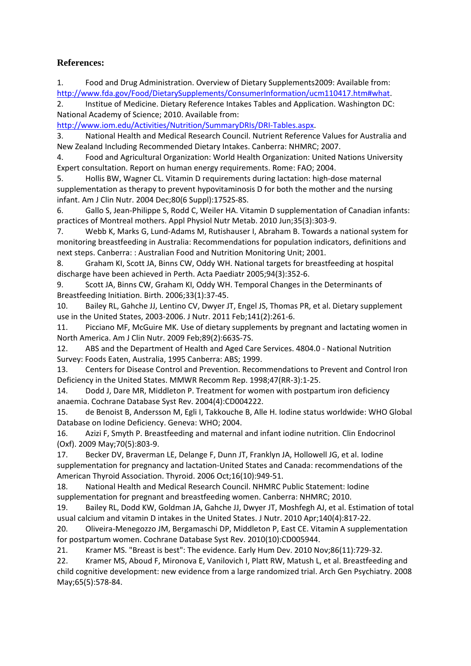# **References:**

<span id="page-17-0"></span>1. Food and Drug Administration. Overview of Dietary Supplements2009: Available from: [http://www.fda.gov/Food/DietarySupplements/ConsumerInformation/ucm110417.htm#what.](http://www.fda.gov/Food/DietarySupplements/ConsumerInformation/ucm110417.htm#what)

<span id="page-17-1"></span>2. Institue of Medicine. Dietary Reference Intakes Tables and Application. Washington DC: National Academy of Science; 2010. Available from:

[http://www.iom.edu/Activities/Nutrition/SummaryDRIs/DRI-Tables.aspx.](http://www.iom.edu/Activities/Nutrition/SummaryDRIs/DRI-Tables.aspx)

<span id="page-17-2"></span>3. National Health and Medical Research Council. Nutrient Reference Values for Australia and New Zealand Including Recommended Dietary Intakes. Canberra: NHMRC; 2007.

<span id="page-17-3"></span>4. Food and Agricultural Organization: World Health Organization: United Nations University Expert consultation. Report on human energy requirements. Rome: FAO; 2004.

<span id="page-17-4"></span>5. Hollis BW, Wagner CL. Vitamin D requirements during lactation: high-dose maternal supplementation as therapy to prevent hypovitaminosis D for both the mother and the nursing infant. Am J Clin Nutr. 2004 Dec;80(6 Suppl):1752S-8S.

<span id="page-17-5"></span>6. Gallo S, Jean-Philippe S, Rodd C, Weiler HA. Vitamin D supplementation of Canadian infants: practices of Montreal mothers. Appl Physiol Nutr Metab. 2010 Jun;35(3):303-9.

<span id="page-17-6"></span>7. Webb K, Marks G, Lund-Adams M, Rutishauser I, Abraham B. Towards a national system for monitoring breastfeeding in Australia: Recommendations for population indicators, definitions and next steps. Canberra: : Australian Food and Nutrition Monitoring Unit; 2001.

<span id="page-17-7"></span>8. Graham KI, Scott JA, Binns CW, Oddy WH. National targets for breastfeeding at hospital discharge have been achieved in Perth. Acta Paediatr 2005;94(3):352-6.

<span id="page-17-8"></span>9. Scott JA, Binns CW, Graham KI, Oddy WH. Temporal Changes in the Determinants of Breastfeeding Initiation. Birth. 2006;33(1):37-45.

<span id="page-17-9"></span>10. Bailey RL, Gahche JJ, Lentino CV, Dwyer JT, Engel JS, Thomas PR, et al. Dietary supplement use in the United States, 2003-2006. J Nutr. 2011 Feb;141(2):261-6.

<span id="page-17-10"></span>11. Picciano MF, McGuire MK. Use of dietary supplements by pregnant and lactating women in North America. Am J Clin Nutr. 2009 Feb;89(2):663S-7S.

12. ABS and the Department of Health and Aged Care Services. 4804.0 - National Nutrition Survey: Foods Eaten, Australia, 1995 Canberra: ABS; 1999.

<span id="page-17-11"></span>13. Centers for Disease Control and Prevention. Recommendations to Prevent and Control Iron Deficiency in the United States. MMWR Recomm Rep. 1998;47(RR-3):1-25.

<span id="page-17-12"></span>14. Dodd J, Dare MR, Middleton P. Treatment for women with postpartum iron deficiency anaemia. Cochrane Database Syst Rev. 2004(4):CD004222.

<span id="page-17-13"></span>15. de Benoist B, Andersson M, Egli I, Takkouche B, Alle H. Iodine status worldwide: WHO Global Database on Iodine Deficiency. Geneva: WHO; 2004.

<span id="page-17-14"></span>16. Azizi F, Smyth P. Breastfeeding and maternal and infant iodine nutrition. Clin Endocrinol (Oxf). 2009 May;70(5):803-9.

<span id="page-17-15"></span>17. Becker DV, Braverman LE, Delange F, Dunn JT, Franklyn JA, Hollowell JG, et al. Iodine supplementation for pregnancy and lactation-United States and Canada: recommendations of the American Thyroid Association. Thyroid. 2006 Oct;16(10):949-51.

<span id="page-17-16"></span>18. National Health and Medical Research Council. NHMRC Public Statement: Iodine supplementation for pregnant and breastfeeding women. Canberra: NHMRC; 2010.

<span id="page-17-17"></span>19. Bailey RL, Dodd KW, Goldman JA, Gahche JJ, Dwyer JT, Moshfegh AJ, et al. Estimation of total usual calcium and vitamin D intakes in the United States. J Nutr. 2010 Apr;140(4):817-22.

<span id="page-17-18"></span>20. Oliveira-Menegozzo JM, Bergamaschi DP, Middleton P, East CE. Vitamin A supplementation for postpartum women. Cochrane Database Syst Rev. 2010(10):CD005944.

<span id="page-17-19"></span>21. Kramer MS. "Breast is best": The evidence. Early Hum Dev. 2010 Nov;86(11):729-32.

<span id="page-17-20"></span>22. Kramer MS, Aboud F, Mironova E, Vanilovich I, Platt RW, Matush L, et al. Breastfeeding and child cognitive development: new evidence from a large randomized trial. Arch Gen Psychiatry. 2008 May;65(5):578-84.